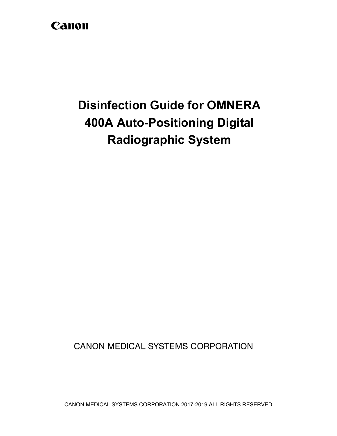## Canon

# **Disinfection Guide for OMNERA 400A Auto-Positioning Digital Radiographic System**

**CANON MEDICAL SYSTEMS CORPORATION**